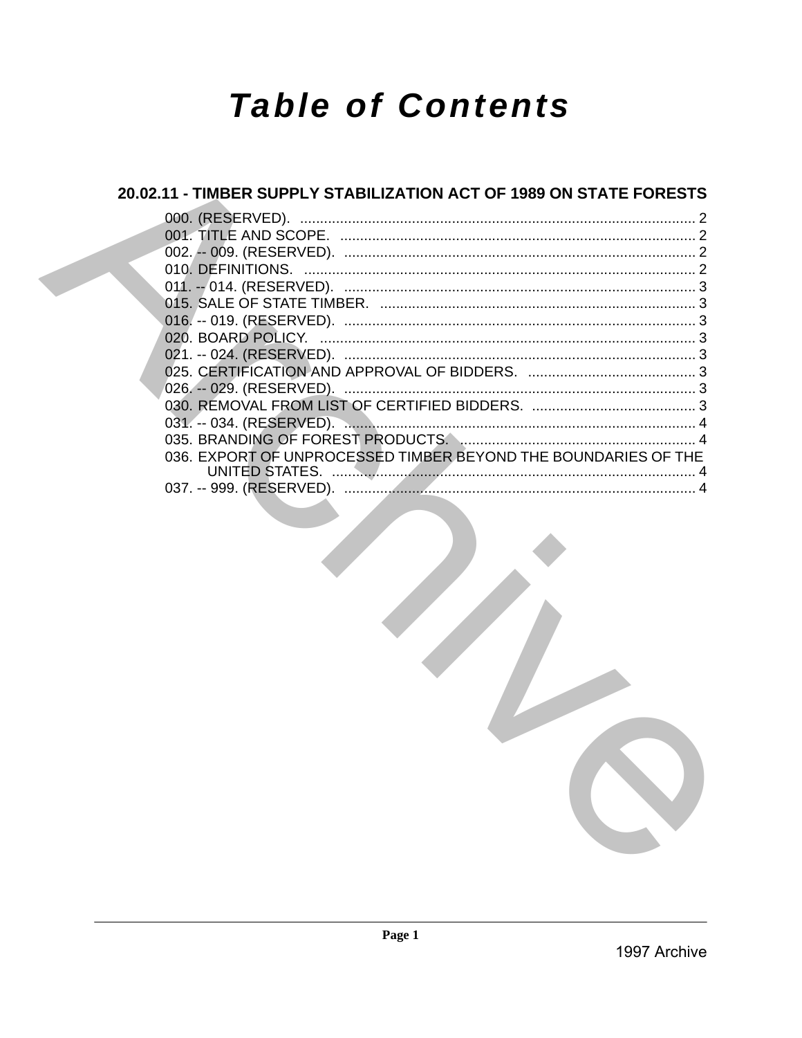# **Table of Contents**

## 20.02.11 - TIMBER SUPPLY STABILIZATION ACT OF 1989 ON STATE FORESTS

| 036. EXPORT OF UNPROCESSED TIMBER BEYOND THE BOUNDARIES OF THE |  |
|----------------------------------------------------------------|--|
|                                                                |  |
|                                                                |  |

1997 Archive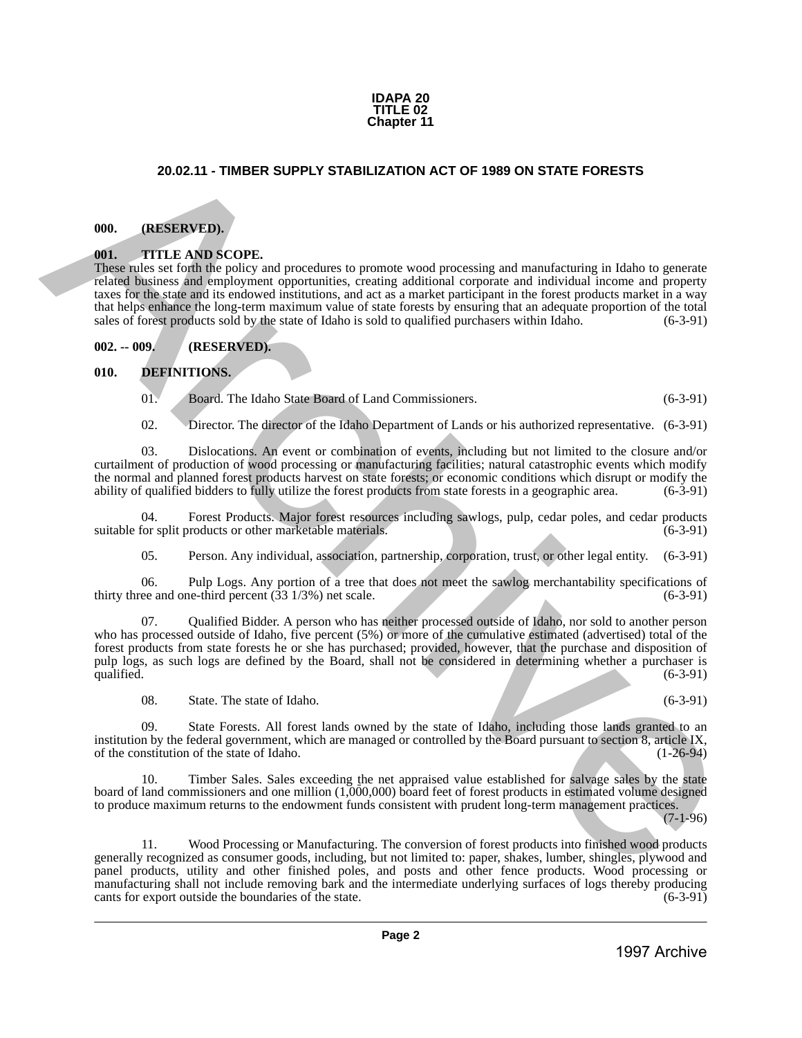#### **IDAPA 20 TITLE 02 Chapter 11**

### **20.02.11 - TIMBER SUPPLY STABILIZATION ACT OF 1989 ON STATE FORESTS**

#### <span id="page-1-1"></span>**000. (RESERVED).**

#### <span id="page-1-2"></span>**001. TITLE AND SCOPE.**

<span id="page-1-0"></span>These rules set forth the policy and procedures to promote wood processing and manufacturing in Idaho to generate related business and employment opportunities, creating additional corporate and individual income and property taxes for the state and its endowed institutions, and act as a market participant in the forest products market in a way that helps enhance the long-term maximum value of state forests by ensuring that an adequate proportion of the total sales of forest products sold by the state of Idaho is sold to qualified purchasers within Idaho. (6-3-91) **20.02.11 - TIMBER SUPPLY STABILIZATION ACT OF 1995 ON STATE FORESTS<br>
1997 ARCHIVES (ASSENTENCE)<br>
1997 ARCHIVES (ASSENTENCE)<br>
1997 ARCHIVES (ASSENTENCE)<br>
1997 ARCHIVES (ASSENTENCE)<br>
1997 ARCHIVES (ASSENTENCE)<br>
1997 ARCHIV** 

<span id="page-1-3"></span>**002. -- 009. (RESERVED).**

#### <span id="page-1-4"></span>**010. DEFINITIONS.**

01. Board. The Idaho State Board of Land Commissioners. (6-3-91)

02. Director. The director of the Idaho Department of Lands or his authorized representative. (6-3-91)

03. Dislocations. An event or combination of events, including but not limited to the closure and/or curtailment of production of wood processing or manufacturing facilities; natural catastrophic events which modify the normal and planned forest products harvest on state forests; or economic conditions which disrupt or modify the ability of qualified bidders to fully utilize the forest products from state forests in a geographic area. ability of qualified bidders to fully utilize the forest products from state forests in a geographic area.

04. Forest Products. Major forest resources including sawlogs, pulp, cedar poles, and cedar products or other marketable materials. (6-3-91) suitable for split products or other marketable materials.

05. Person. Any individual, association, partnership, corporation, trust, or other legal entity. (6-3-91)

06. Pulp Logs. Any portion of a tree that does not meet the sawlog merchantability specifications of ee and one-third percent  $(33\ 1/3%)$  net scale.  $(6-3-91)$ thirty three and one-third percent  $(33\ 1/3\%)$  net scale.

07. Qualified Bidder. A person who has neither processed outside of Idaho, nor sold to another person who has processed outside of Idaho, five percent (5%) or more of the cumulative estimated (advertised) total of the forest products from state forests he or she has purchased; provided, however, that the purchase and disposition of pulp logs, as such logs are defined by the Board, shall not be considered in determining whether a purchaser is qualified.  $(6-3-91)$ 

08. State. The state of Idaho. (6-3-91)

09. State Forests. All forest lands owned by the state of Idaho, including those lands granted to an institution by the federal government, which are managed or controlled by the Board pursuant to section 8, article IX, of the constitution of the state of Idaho. (1-26-94) of the constitution of the state of Idaho.

10. Timber Sales. Sales exceeding the net appraised value established for salvage sales by the state board of land commissioners and one million (1,000,000) board feet of forest products in estimated volume designed to produce maximum returns to the endowment funds consistent with prudent long-term management practices.

(7-1-96)

11. Wood Processing or Manufacturing. The conversion of forest products into finished wood products generally recognized as consumer goods, including, but not limited to: paper, shakes, lumber, shingles, plywood and panel products, utility and other finished poles, and posts and other fence products. Wood processing or manufacturing shall not include removing bark and the intermediate underlying surfaces of logs thereby producing cants for export outside the boundaries of the state. cants for export outside the boundaries of the state.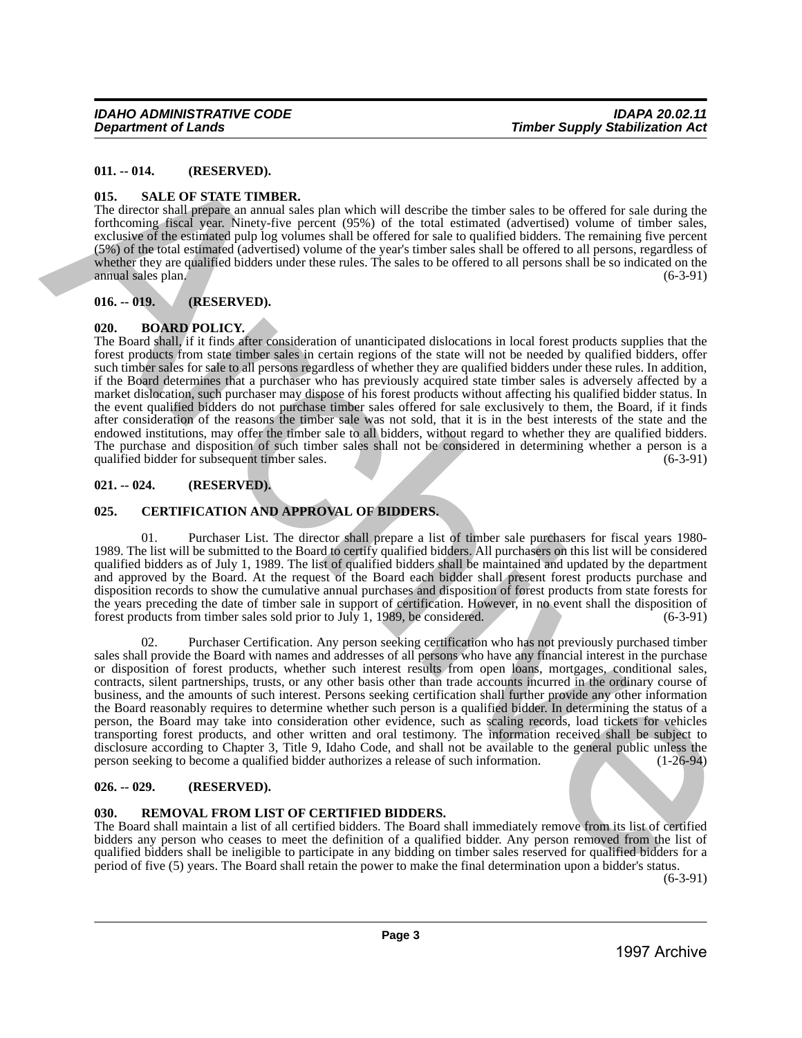#### <span id="page-2-0"></span>**011. -- 014. (RESERVED).**

#### <span id="page-2-1"></span>**015. SALE OF STATE TIMBER.**

The director shall prepare an annual sales plan which will describe the timber sales to be offered for sale during the forthcoming fiscal year. Ninety-five percent (95%) of the total estimated (advertised) volume of timber sales, exclusive of the estimated pulp log volumes shall be offered for sale to qualified bidders. The remaining five percent (5%) of the total estimated (advertised) volume of the year's timber sales shall be offered to all persons, regardless of whether they are qualified bidders under these rules. The sales to be offered to all persons shall be so indicated on the annual sales plan.  $(6-3-91)$ 

### <span id="page-2-2"></span>**016. -- 019. (RESERVED).**

#### <span id="page-2-3"></span>**020. BOARD POLICY.**

The Board shall, if it finds after consideration of unanticipated dislocations in local forest products supplies that the forest products from state timber sales in certain regions of the state will not be needed by qualified bidders, offer such timber sales for sale to all persons regardless of whether they are qualified bidders under these rules. In addition, if the Board determines that a purchaser who has previously acquired state timber sales is adversely affected by a market dislocation, such purchaser may dispose of his forest products without affecting his qualified bidder status. In the event qualified bidders do not purchase timber sales offered for sale exclusively to them, the Board, if it finds after consideration of the reasons the timber sale was not sold, that it is in the best interests of the state and the endowed institutions, may offer the timber sale to all bidders, without regard to whether they are qualified bidders. The purchase and disposition of such timber sales shall not be considered in determining whether a person is a qualified bidder for subsequent timber sales. (6-3-91) qualified bidder for subsequent timber sales.

#### <span id="page-2-4"></span>**021. -- 024. (RESERVED).**

#### <span id="page-2-5"></span>**025. CERTIFICATION AND APPROVAL OF BIDDERS.**

01. Purchaser List. The director shall prepare a list of timber sale purchasers for fiscal years 1980- 1989. The list will be submitted to the Board to certify qualified bidders. All purchasers on this list will be considered qualified bidders as of July 1, 1989. The list of qualified bidders shall be maintained and updated by the department and approved by the Board. At the request of the Board each bidder shall present forest products purchase and disposition records to show the cumulative annual purchases and disposition of forest products from state forests for the years preceding the date of timber sale in support of certification. However, in no event shall the disposition of forest products from timber sales sold prior to July 1, 1989, be considered. (6-3-91) forest products from timber sales sold prior to July 1, 1989, be considered.

02. Purchaser Certification. Any person seeking certification who has not previously purchased timber sales shall provide the Board with names and addresses of all persons who have any financial interest in the purchase or disposition of forest products, whether such interest results from open loans, mortgages, conditional sales, contracts, silent partnerships, trusts, or any other basis other than trade accounts incurred in the ordinary course of business, and the amounts of such interest. Persons seeking certification shall further provide any other information the Board reasonably requires to determine whether such person is a qualified bidder. In determining the status of a person, the Board may take into consideration other evidence, such as scaling records, load tickets for vehicles transporting forest products, and other written and oral testimony. The information received shall be subject to disclosure according to Chapter 3, Title 9, Idaho Code, and shall not be available to the general public unless the person seeking to become a qualified bidder authorizes a release of such information. (1-26-94) person seeking to become a qualified bidder authorizes a release of such information. 011. – 014. (RESERVED)<br>
1997. – SALLS OF SARVED,<br>
1995. – SALLS OF SARVED SUS A plan starb and interest in the material starb and interest in the offered for starb and interest in the material starb and the material starb

#### <span id="page-2-6"></span>**026. -- 029. (RESERVED).**

#### <span id="page-2-7"></span>**030. REMOVAL FROM LIST OF CERTIFIED BIDDERS.**

The Board shall maintain a list of all certified bidders. The Board shall immediately remove from its list of certified bidders any person who ceases to meet the definition of a qualified bidder. Any person removed from the list of qualified bidders shall be ineligible to participate in any bidding on timber sales reserved for qualified bidders for a period of five (5) years. The Board shall retain the power to make the final determination upon a bidder's status.

(6-3-91)